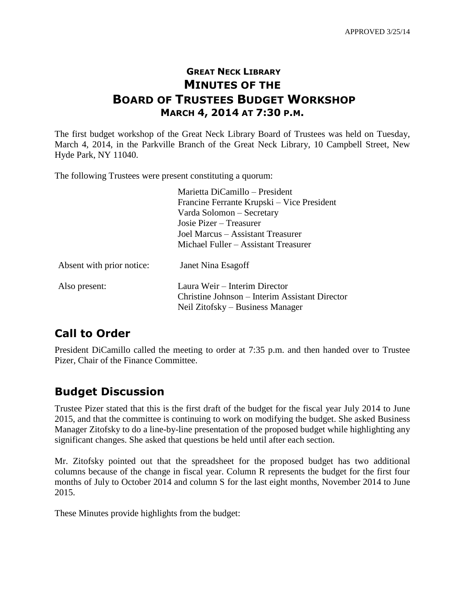## **GREAT NECK LIBRARY MINUTES OF THE BOARD OF TRUSTEES BUDGET WORKSHOP MARCH 4, 2014 AT 7:30 P.M.**

The first budget workshop of the Great Neck Library Board of Trustees was held on Tuesday, March 4, 2014, in the Parkville Branch of the Great Neck Library, 10 Campbell Street, New Hyde Park, NY 11040.

The following Trustees were present constituting a quorum:

|                           | Marietta DiCamillo – President<br>Francine Ferrante Krupski – Vice President<br>Varda Solomon – Secretary<br>Josie Pizer – Treasurer<br>Joel Marcus – Assistant Treasurer<br>Michael Fuller – Assistant Treasurer |
|---------------------------|-------------------------------------------------------------------------------------------------------------------------------------------------------------------------------------------------------------------|
| Absent with prior notice: | Janet Nina Esagoff                                                                                                                                                                                                |
| Also present:             | Laura Weir – Interim Director<br>Christine Johnson – Interim Assistant Director<br>Neil Zitofsky – Business Manager                                                                                               |

## **Call to Order**

President DiCamillo called the meeting to order at 7:35 p.m. and then handed over to Trustee Pizer, Chair of the Finance Committee.

## **Budget Discussion**

Trustee Pizer stated that this is the first draft of the budget for the fiscal year July 2014 to June 2015, and that the committee is continuing to work on modifying the budget. She asked Business Manager Zitofsky to do a line-by-line presentation of the proposed budget while highlighting any significant changes. She asked that questions be held until after each section.

Mr. Zitofsky pointed out that the spreadsheet for the proposed budget has two additional columns because of the change in fiscal year. Column R represents the budget for the first four months of July to October 2014 and column S for the last eight months, November 2014 to June 2015.

These Minutes provide highlights from the budget: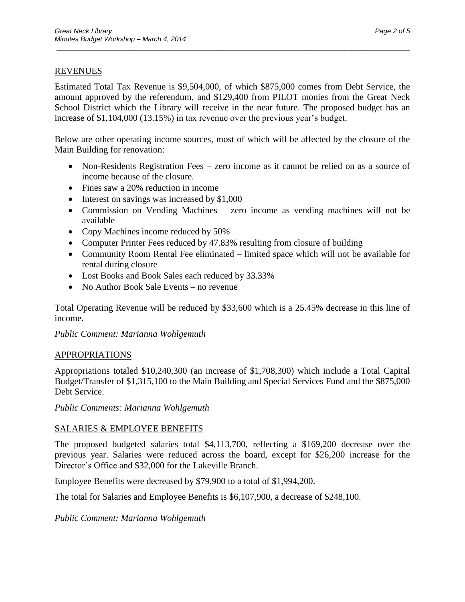### REVENUES

Estimated Total Tax Revenue is \$9,504,000, of which \$875,000 comes from Debt Service, the amount approved by the referendum, and \$129,400 from PILOT monies from the Great Neck School District which the Library will receive in the near future. The proposed budget has an increase of \$1,104,000 (13.15%) in tax revenue over the previous year's budget.

\_\_\_\_\_\_\_\_\_\_\_\_\_\_\_\_\_\_\_\_\_\_\_\_\_\_\_\_\_\_\_\_\_\_\_\_\_\_\_\_\_\_\_\_\_\_\_\_\_\_\_\_\_\_\_\_\_\_\_\_\_\_\_\_\_\_\_\_\_\_\_\_\_\_\_\_\_\_\_\_\_\_\_\_\_\_\_\_\_\_\_\_\_

Below are other operating income sources, most of which will be affected by the closure of the Main Building for renovation:

- Non-Residents Registration Fees zero income as it cannot be relied on as a source of income because of the closure.
- Fines saw a 20% reduction in income
- Interest on savings was increased by \$1,000
- Commission on Vending Machines zero income as vending machines will not be available
- Copy Machines income reduced by 50%
- Computer Printer Fees reduced by 47.83% resulting from closure of building
- Community Room Rental Fee eliminated limited space which will not be available for rental during closure
- Lost Books and Book Sales each reduced by 33.33%
- No Author Book Sale Events no revenue

Total Operating Revenue will be reduced by \$33,600 which is a 25.45% decrease in this line of income.

#### *Public Comment: Marianna Wohlgemuth*

## APPROPRIATIONS

Appropriations totaled \$10,240,300 (an increase of \$1,708,300) which include a Total Capital Budget/Transfer of \$1,315,100 to the Main Building and Special Services Fund and the \$875,000 Debt Service.

*Public Comments: Marianna Wohlgemuth*

## SALARIES & EMPLOYEE BENEFITS

The proposed budgeted salaries total \$4,113,700, reflecting a \$169,200 decrease over the previous year. Salaries were reduced across the board, except for \$26,200 increase for the Director's Office and \$32,000 for the Lakeville Branch.

Employee Benefits were decreased by \$79,900 to a total of \$1,994,200.

The total for Salaries and Employee Benefits is \$6,107,900, a decrease of \$248,100.

*Public Comment: Marianna Wohlgemuth*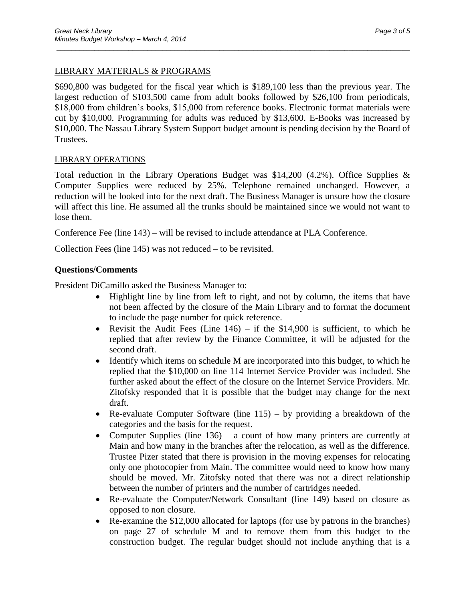### LIBRARY MATERIALS & PROGRAMS

\$690,800 was budgeted for the fiscal year which is \$189,100 less than the previous year. The largest reduction of \$103,500 came from adult books followed by \$26,100 from periodicals, \$18,000 from children's books, \$15,000 from reference books. Electronic format materials were cut by \$10,000. Programming for adults was reduced by \$13,600. E-Books was increased by \$10,000. The Nassau Library System Support budget amount is pending decision by the Board of Trustees.

\_\_\_\_\_\_\_\_\_\_\_\_\_\_\_\_\_\_\_\_\_\_\_\_\_\_\_\_\_\_\_\_\_\_\_\_\_\_\_\_\_\_\_\_\_\_\_\_\_\_\_\_\_\_\_\_\_\_\_\_\_\_\_\_\_\_\_\_\_\_\_\_\_\_\_\_\_\_\_\_\_\_\_\_\_\_\_\_\_\_\_\_\_

#### LIBRARY OPERATIONS

Total reduction in the Library Operations Budget was \$14,200 (4.2%). Office Supplies & Computer Supplies were reduced by 25%. Telephone remained unchanged. However, a reduction will be looked into for the next draft. The Business Manager is unsure how the closure will affect this line. He assumed all the trunks should be maintained since we would not want to lose them.

Conference Fee (line 143) – will be revised to include attendance at PLA Conference.

Collection Fees (line 145) was not reduced – to be revisited.

#### **Questions/Comments**

President DiCamillo asked the Business Manager to:

- Highlight line by line from left to right, and not by column, the items that have not been affected by the closure of the Main Library and to format the document to include the page number for quick reference.
- Revisit the Audit Fees (Line  $146$ ) if the \$14,900 is sufficient, to which he replied that after review by the Finance Committee, it will be adjusted for the second draft.
- Identify which items on schedule M are incorporated into this budget, to which he replied that the \$10,000 on line 114 Internet Service Provider was included. She further asked about the effect of the closure on the Internet Service Providers. Mr. Zitofsky responded that it is possible that the budget may change for the next draft.
- Re-evaluate Computer Software (line  $115$ ) by providing a breakdown of the categories and the basis for the request.
- Computer Supplies (line  $136$ ) a count of how many printers are currently at Main and how many in the branches after the relocation, as well as the difference. Trustee Pizer stated that there is provision in the moving expenses for relocating only one photocopier from Main. The committee would need to know how many should be moved. Mr. Zitofsky noted that there was not a direct relationship between the number of printers and the number of cartridges needed.
- Re-evaluate the Computer/Network Consultant (line 149) based on closure as opposed to non closure.
- Re-examine the \$12,000 allocated for laptops (for use by patrons in the branches) on page 27 of schedule M and to remove them from this budget to the construction budget. The regular budget should not include anything that is a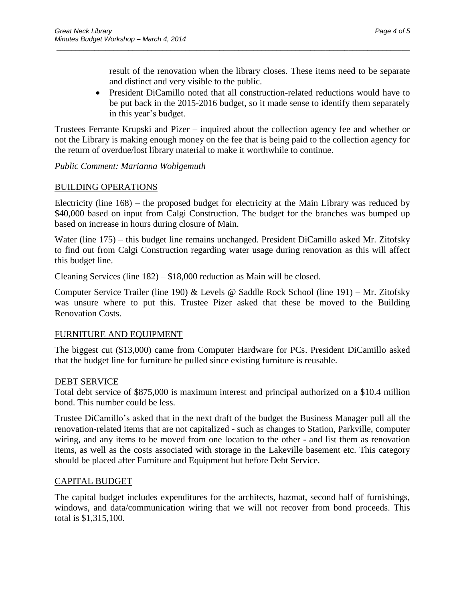result of the renovation when the library closes. These items need to be separate and distinct and very visible to the public.

 President DiCamillo noted that all construction-related reductions would have to be put back in the 2015-2016 budget, so it made sense to identify them separately in this year's budget.

Trustees Ferrante Krupski and Pizer – inquired about the collection agency fee and whether or not the Library is making enough money on the fee that is being paid to the collection agency for the return of overdue/lost library material to make it worthwhile to continue.

\_\_\_\_\_\_\_\_\_\_\_\_\_\_\_\_\_\_\_\_\_\_\_\_\_\_\_\_\_\_\_\_\_\_\_\_\_\_\_\_\_\_\_\_\_\_\_\_\_\_\_\_\_\_\_\_\_\_\_\_\_\_\_\_\_\_\_\_\_\_\_\_\_\_\_\_\_\_\_\_\_\_\_\_\_\_\_\_\_\_\_\_\_

#### *Public Comment: Marianna Wohlgemuth*

#### BUILDING OPERATIONS

Electricity (line 168) – the proposed budget for electricity at the Main Library was reduced by \$40,000 based on input from Calgi Construction. The budget for the branches was bumped up based on increase in hours during closure of Main.

Water (line 175) – this budget line remains unchanged. President DiCamillo asked Mr. Zitofsky to find out from Calgi Construction regarding water usage during renovation as this will affect this budget line.

Cleaning Services (line 182) – \$18,000 reduction as Main will be closed.

Computer Service Trailer (line 190) & Levels @ Saddle Rock School (line 191) – Mr. Zitofsky was unsure where to put this. Trustee Pizer asked that these be moved to the Building Renovation Costs.

#### FURNITURE AND EQUIPMENT

The biggest cut (\$13,000) came from Computer Hardware for PCs. President DiCamillo asked that the budget line for furniture be pulled since existing furniture is reusable.

#### DEBT SERVICE

Total debt service of \$875,000 is maximum interest and principal authorized on a \$10.4 million bond. This number could be less.

Trustee DiCamillo's asked that in the next draft of the budget the Business Manager pull all the renovation-related items that are not capitalized - such as changes to Station, Parkville, computer wiring, and any items to be moved from one location to the other - and list them as renovation items, as well as the costs associated with storage in the Lakeville basement etc. This category should be placed after Furniture and Equipment but before Debt Service.

#### CAPITAL BUDGET

The capital budget includes expenditures for the architects, hazmat, second half of furnishings, windows, and data/communication wiring that we will not recover from bond proceeds. This total is \$1,315,100.